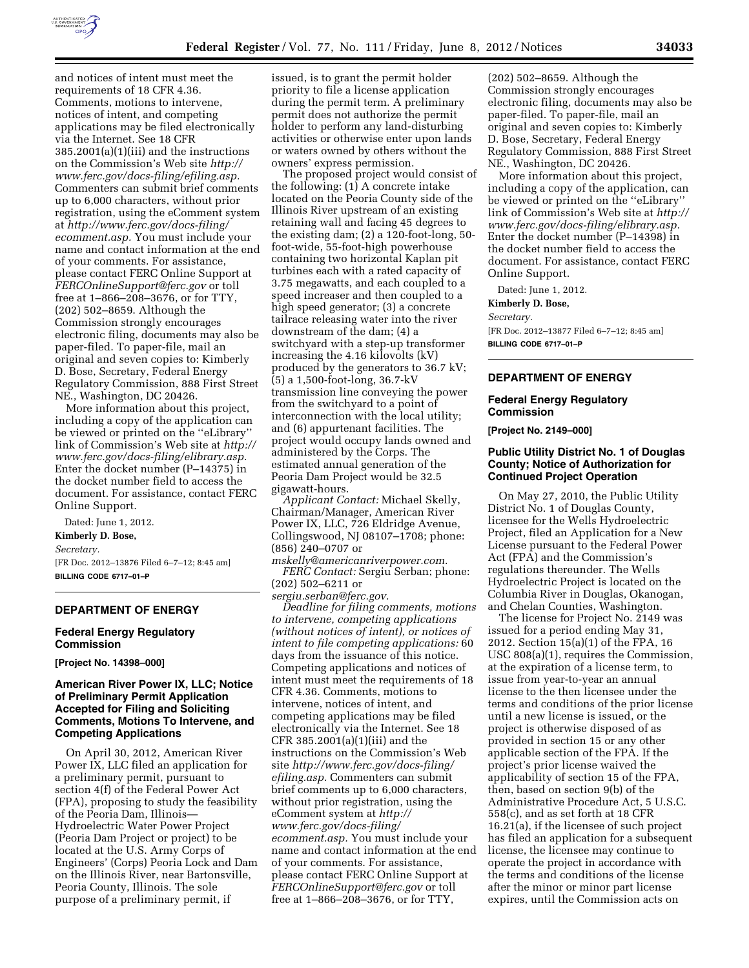

and notices of intent must meet the requirements of 18 CFR 4.36. Comments, motions to intervene, notices of intent, and competing applications may be filed electronically via the Internet. See 18 CFR 385.2001(a)(1)(iii) and the instructions on the Commission's Web site *[http://](http://www.ferc.gov/docs-filing/efiling.asp) [www.ferc.gov/docs-filing/efiling.asp.](http://www.ferc.gov/docs-filing/efiling.asp)*  Commenters can submit brief comments up to 6,000 characters, without prior registration, using the eComment system at *[http://www.ferc.gov/docs-filing/](http://www.ferc.gov/docs-filing/ecomment.asp) [ecomment.asp.](http://www.ferc.gov/docs-filing/ecomment.asp)* You must include your name and contact information at the end of your comments. For assistance, please contact FERC Online Support at *[FERCOnlineSupport@ferc.gov](mailto:FERCOnlineSupport@ferc.gov)* or toll free at 1–866–208–3676, or for TTY,

(202) 502–8659. Although the Commission strongly encourages electronic filing, documents may also be paper-filed. To paper-file, mail an original and seven copies to: Kimberly D. Bose, Secretary, Federal Energy Regulatory Commission, 888 First Street NE., Washington, DC 20426.

More information about this project, including a copy of the application can be viewed or printed on the ''eLibrary'' link of Commission's Web site at *[http://](http://www.ferc.gov/docs-filing/elibrary.asp) [www.ferc.gov/docs-filing/elibrary.asp.](http://www.ferc.gov/docs-filing/elibrary.asp)*  Enter the docket number (P–14375) in the docket number field to access the document. For assistance, contact FERC Online Support.

Dated: June 1, 2012.

#### **Kimberly D. Bose,**

*Secretary.* 

[FR Doc. 2012–13876 Filed 6–7–12; 8:45 am] **BILLING CODE 6717–01–P** 

#### **DEPARTMENT OF ENERGY**

#### **Federal Energy Regulatory Commission**

**[Project No. 14398–000]** 

# **American River Power IX, LLC; Notice of Preliminary Permit Application Accepted for Filing and Soliciting Comments, Motions To Intervene, and Competing Applications**

On April 30, 2012, American River Power IX, LLC filed an application for a preliminary permit, pursuant to section 4(f) of the Federal Power Act (FPA), proposing to study the feasibility of the Peoria Dam, Illinois— Hydroelectric Water Power Project (Peoria Dam Project or project) to be located at the U.S. Army Corps of Engineers' (Corps) Peoria Lock and Dam on the Illinois River, near Bartonsville, Peoria County, Illinois. The sole purpose of a preliminary permit, if

issued, is to grant the permit holder priority to file a license application during the permit term. A preliminary permit does not authorize the permit holder to perform any land-disturbing activities or otherwise enter upon lands or waters owned by others without the owners' express permission.

The proposed project would consist of the following: (1) A concrete intake located on the Peoria County side of the Illinois River upstream of an existing retaining wall and facing 45 degrees to the existing dam; (2) a 120-foot-long, 50 foot-wide, 55-foot-high powerhouse containing two horizontal Kaplan pit turbines each with a rated capacity of 3.75 megawatts, and each coupled to a speed increaser and then coupled to a high speed generator; (3) a concrete tailrace releasing water into the river downstream of the dam; (4) a switchyard with a step-up transformer increasing the 4.16 kilovolts (kV) produced by the generators to 36.7 kV; (5) a 1,500-foot-long, 36.7-kV transmission line conveying the power from the switchyard to a point of interconnection with the local utility; and (6) appurtenant facilities. The project would occupy lands owned and administered by the Corps. The estimated annual generation of the Peoria Dam Project would be 32.5 gigawatt-hours.

*Applicant Contact:* Michael Skelly, Chairman/Manager, American River Power IX, LLC, 726 Eldridge Avenue, Collingswood, NJ 08107–1708; phone: (856) 240–0707 or

*[mskelly@americanriverpower.com.](mailto:mskelly@americanriverpower.com) FERC Contact:* Sergiu Serban; phone: (202) 502–6211 or

*[sergiu.serban@ferc.gov.](mailto:sergiu.serban@ferc.gov)* 

*Deadline for filing comments, motions to intervene, competing applications (without notices of intent), or notices of intent to file competing applications:* 60 days from the issuance of this notice. Competing applications and notices of intent must meet the requirements of 18 CFR 4.36. Comments, motions to intervene, notices of intent, and competing applications may be filed electronically via the Internet. See 18 CFR 385.2001(a)(1)(iii) and the instructions on the Commission's Web site *[http://www.ferc.gov/docs-filing/](http://www.ferc.gov/docs-filing/efiling.asp) [efiling.asp.](http://www.ferc.gov/docs-filing/efiling.asp)* Commenters can submit brief comments up to 6,000 characters, without prior registration, using the eComment system at *[http://](http://www.ferc.gov/docs-filing/ecomment.asp) [www.ferc.gov/docs-filing/](http://www.ferc.gov/docs-filing/ecomment.asp)  [ecomment.asp.](http://www.ferc.gov/docs-filing/ecomment.asp)* You must include your name and contact information at the end of your comments. For assistance, please contact FERC Online Support at *[FERCOnlineSupport@ferc.gov](mailto:FERCOnlineSupport@ferc.gov)* or toll free at 1–866–208–3676, or for TTY,

(202) 502–8659. Although the Commission strongly encourages electronic filing, documents may also be paper-filed. To paper-file, mail an original and seven copies to: Kimberly D. Bose, Secretary, Federal Energy Regulatory Commission, 888 First Street NE., Washington, DC 20426.

More information about this project, including a copy of the application, can be viewed or printed on the ''eLibrary'' link of Commission's Web site at *[http://](http://www.ferc.gov/docs-filing/elibrary.asp) [www.ferc.gov/docs-filing/elibrary.asp.](http://www.ferc.gov/docs-filing/elibrary.asp)*  Enter the docket number (P–14398) in the docket number field to access the document. For assistance, contact FERC Online Support.

Dated: June 1, 2012.

#### **Kimberly D. Bose,**

*Secretary.* 

[FR Doc. 2012–13877 Filed 6–7–12; 8:45 am] **BILLING CODE 6717–01–P** 

# **DEPARTMENT OF ENERGY**

# **Federal Energy Regulatory Commission**

**[Project No. 2149–000]** 

# **Public Utility District No. 1 of Douglas County; Notice of Authorization for Continued Project Operation**

On May 27, 2010, the Public Utility District No. 1 of Douglas County, licensee for the Wells Hydroelectric Project, filed an Application for a New License pursuant to the Federal Power Act (FPA) and the Commission's regulations thereunder. The Wells Hydroelectric Project is located on the Columbia River in Douglas, Okanogan, and Chelan Counties, Washington.

The license for Project No. 2149 was issued for a period ending May 31, 2012. Section 15(a)(1) of the FPA, 16 USC 808(a)(1), requires the Commission, at the expiration of a license term, to issue from year-to-year an annual license to the then licensee under the terms and conditions of the prior license until a new license is issued, or the project is otherwise disposed of as provided in section 15 or any other applicable section of the FPA. If the project's prior license waived the applicability of section 15 of the FPA, then, based on section 9(b) of the Administrative Procedure Act, 5 U.S.C. 558(c), and as set forth at 18 CFR 16.21(a), if the licensee of such project has filed an application for a subsequent license, the licensee may continue to operate the project in accordance with the terms and conditions of the license after the minor or minor part license expires, until the Commission acts on